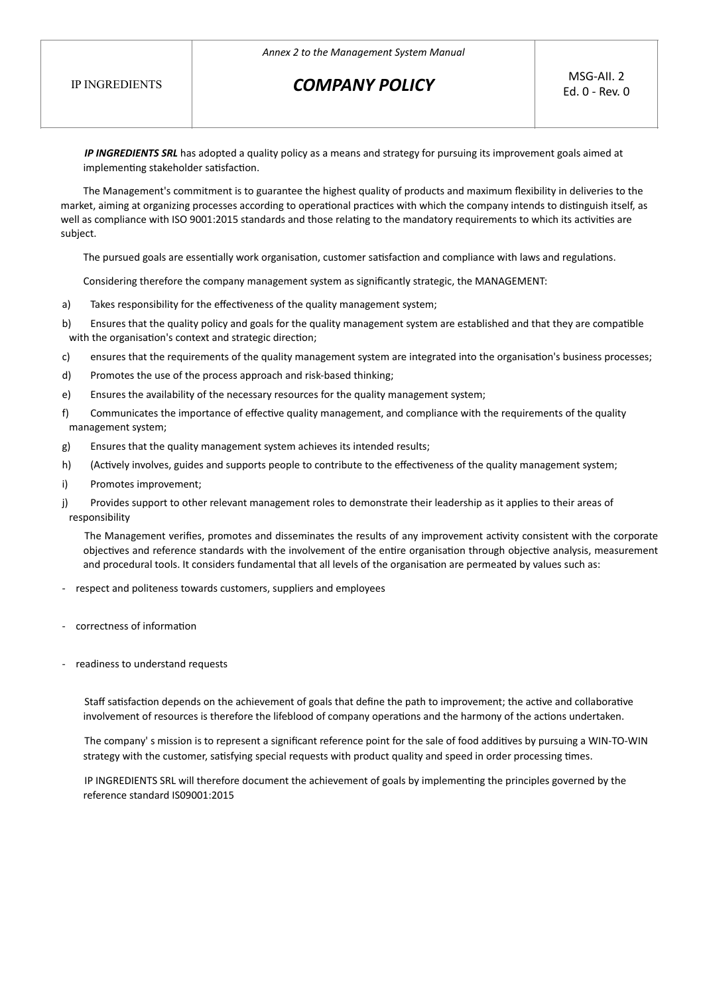## **COMPANY POLICY** MSG-AII. 2

*IP* INGREDIENTS SRL has adopted a quality policy as a means and strategy for pursuing its improvement goals aimed at implementing stakeholder satisfaction.

The Management's commitment is to guarantee the highest quality of products and maximum flexibility in deliveries to the market, aiming at organizing processes according to operational practices with which the company intends to distinguish itself, as well as compliance with ISO 9001:2015 standards and those relating to the mandatory requirements to which its activities are subject.

The pursued goals are essentially work organisation, customer satisfaction and compliance with laws and regulations.

Considering therefore the company management system as significantly strategic, the MANAGEMENT:

- a) Takes responsibility for the effectiveness of the quality management system;
- b) Ensures that the quality policy and goals for the quality management system are established and that they are compatible with the organisation's context and strategic direction;
- c) ensures that the requirements of the quality management system are integrated into the organisation's business processes;
- d) Promotes the use of the process approach and risk-based thinking;
- e) Ensures the availability of the necessary resources for the quality management system;
- f) Communicates the importance of effective quality management, and compliance with the requirements of the quality management system;
- g) Ensures that the quality management system achieves its intended results;
- h) (Actively involves, guides and supports people to contribute to the effectiveness of the quality management system;
- i) Promotes improvement;
- j) Provides support to other relevant management roles to demonstrate their leadership as it applies to their areas of responsibility

The Management verifies, promotes and disseminates the results of any improvement activity consistent with the corporate objectives and reference standards with the involvement of the entire organisation through objective analysis, measurement and procedural tools. It considers fundamental that all levels of the organisation are permeated by values such as:

- respect and politeness towards customers, suppliers and employees
- correctness of information
- readiness to understand requests

Staff satisfaction depends on the achievement of goals that define the path to improvement; the active and collaborative involvement of resources is therefore the lifeblood of company operations and the harmony of the actions undertaken.

The company' s mission is to represent a significant reference point for the sale of food additives by pursuing a WIN-TO-WIN strategy with the customer, satisfying special requests with product quality and speed in order processing times.

IP INGREDIENTS SRL will therefore document the achievement of goals by implementing the principles governed by the reference standard IS09001:2015